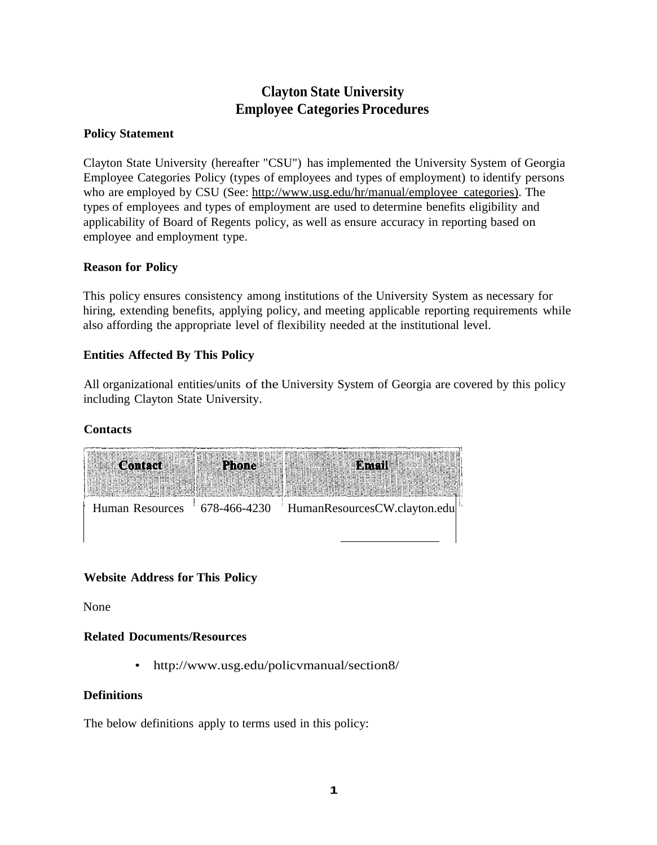# **Clayton State University Employee Categories Procedures**

### **Policy Statement**

Clayton State University (hereafter "CSU") has implemented the University System of Georgia Employee Categories Policy (types of employees and types of employment) to identify persons who are employed by CSU (See: <http://www.usg.edu/hr/manual/employee> categories). The types of employees and types of employment are used to determine benefits eligibility and applicability of Board of Regents policy, as well as ensure accuracy in reporting based on employee and employment type.

#### **Reason for Policy**

This policy ensures consistency among institutions of the University System as necessary for hiring, extending benefits, applying policy, and meeting applicable reporting requirements while also affording the appropriate level of flexibility needed at the institutional level.

#### **Entities Affected By This Policy**

All organizational entities/units of the University System of Georgia are covered by this policy including Clayton State University.

#### **Contacts**



## **Website Address for This Policy**

None

#### **Related Documents/Resources**

• <http://www.usg.edu/policvmanual/section8/>

#### **Definitions**

The below definitions apply to terms used in this policy: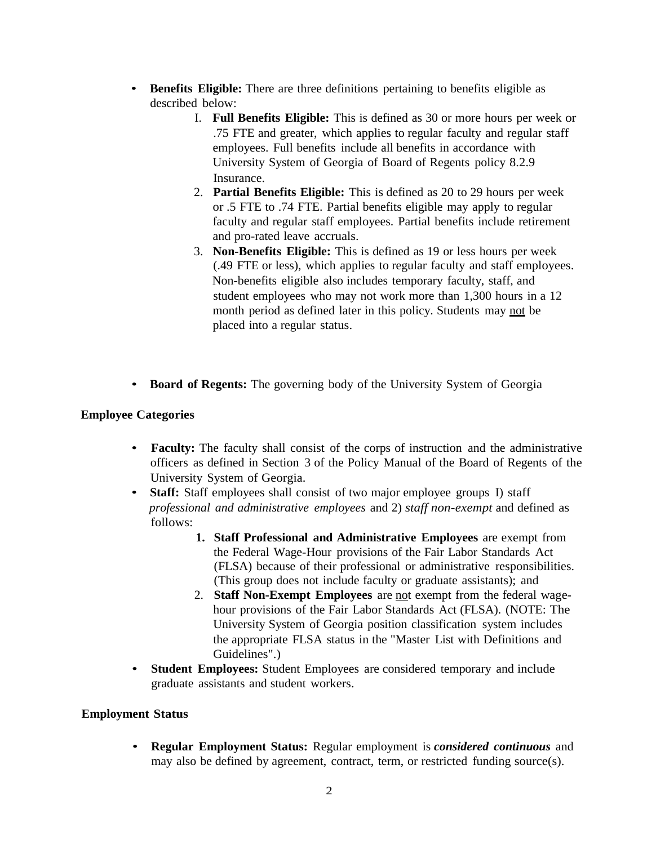- **Benefits Eligible:** There are three definitions pertaining to benefits eligible as described below:
	- I. **Full Benefits Eligible:** This is defined as 30 or more hours per week or .75 FTE and greater, which applies to regular faculty and regular staff employees. Full benefits include all benefits in accordance with University System of Georgia of Board of Regents policy 8.2.9 Insurance.
	- 2. **Partial Benefits Eligible:** This is defined as 20 to 29 hours per week or .5 FTE to .74 FTE. Partial benefits eligible may apply to regular faculty and regular staff employees. Partial benefits include retirement and pro-rated leave accruals.
	- 3. **Non-Benefits Eligible:** This is defined as 19 or less hours per week (.49 FTE or less), which applies to regular faculty and staff employees. Non-benefits eligible also includes temporary faculty, staff, and student employees who may not work more than 1,300 hours in a 12 month period as defined later in this policy. Students may not be placed into a regular status.
- **Board of Regents:** The governing body of the University System of Georgia

#### **Employee Categories**

- **Faculty:** The faculty shall consist of the corps of instruction and the administrative officers as defined in Section 3 of the Policy Manual of the Board of Regents of the University System of Georgia.
- **Staff:** Staff employees shall consist of two major employee groups I) staff *professional and administrative employees* and 2) *staff non-exempt* and defined as follows:
	- **1. Staff Professional and Administrative Employees** are exempt from the Federal Wage-Hour provisions of the Fair Labor Standards Act (FLSA) because of their professional or administrative responsibilities. (This group does not include faculty or graduate assistants); and
	- 2. **Staff Non-Exempt Employees** are not exempt from the federal wagehour provisions of the Fair Labor Standards Act (FLSA). (NOTE: The University System of Georgia position classification system includes the appropriate FLSA status in the "Master List with Definitions and Guidelines".)
- **Student Employees:** Student Employees are considered temporary and include graduate assistants and student workers.

#### **Employment Status**

• **Regular Employment Status:** Regular employment is *considered continuous* and may also be defined by agreement, contract, term, or restricted funding source(s).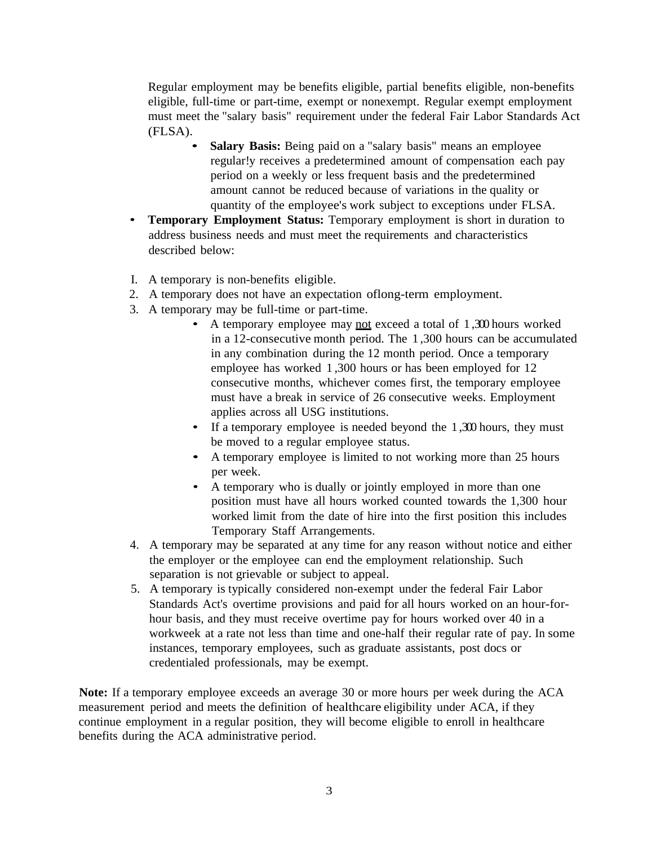Regular employment may be benefits eligible, partial benefits eligible, non-benefits eligible, full-time or part-time, exempt or nonexempt. Regular exempt employment must meet the "salary basis" requirement under the federal Fair Labor Standards Act (FLSA).

- **Salary Basis:** Being paid on a "salary basis" means an employee regular!y receives a predetermined amount of compensation each pay period on a weekly or less frequent basis and the predetermined amount cannot be reduced because of variations in the quality or quantity of the employee's work subject to exceptions under FLSA.
- **Temporary Employment Status:** Temporary employment is short in duration to address business needs and must meet the requirements and characteristics described below:
- I. A temporary is non-benefits eligible.
- 2. A temporary does not have an expectation oflong-term employment.
- 3. A temporary may be full-time or part-time.
	- A temporary employee may not exceed a total of 1,300 hours worked in a 12-consecutive month period. The 1 ,300 hours can be accumulated in any combination during the 12 month period. Once a temporary employee has worked 1 ,300 hours or has been employed for 12 consecutive months, whichever comes first, the temporary employee must have a break in service of 26 consecutive weeks. Employment applies across all USG institutions.
	- If a temporary employee is needed beyond the  $1,300$  hours, they must be moved to a regular employee status.
	- A temporary employee is limited to not working more than 25 hours per week.
	- A temporary who is dually or jointly employed in more than one position must have all hours worked counted towards the 1,300 hour worked limit from the date of hire into the first position this includes Temporary Staff Arrangements.
- 4. A temporary may be separated at any time for any reason without notice and either the employer or the employee can end the employment relationship. Such separation is not grievable or subject to appeal.
- 5. A temporary is typically considered non-exempt under the federal Fair Labor Standards Act's overtime provisions and paid for all hours worked on an hour-forhour basis, and they must receive overtime pay for hours worked over 40 in a workweek at a rate not less than time and one-half their regular rate of pay. In some instances, temporary employees, such as graduate assistants, post docs or credentialed professionals, may be exempt.

**Note:** If a temporary employee exceeds an average 30 or more hours per week during the ACA measurement period and meets the definition of healthcare eligibility under ACA, if they continue employment in a regular position, they will become eligible to enroll in healthcare benefits during the ACA administrative period.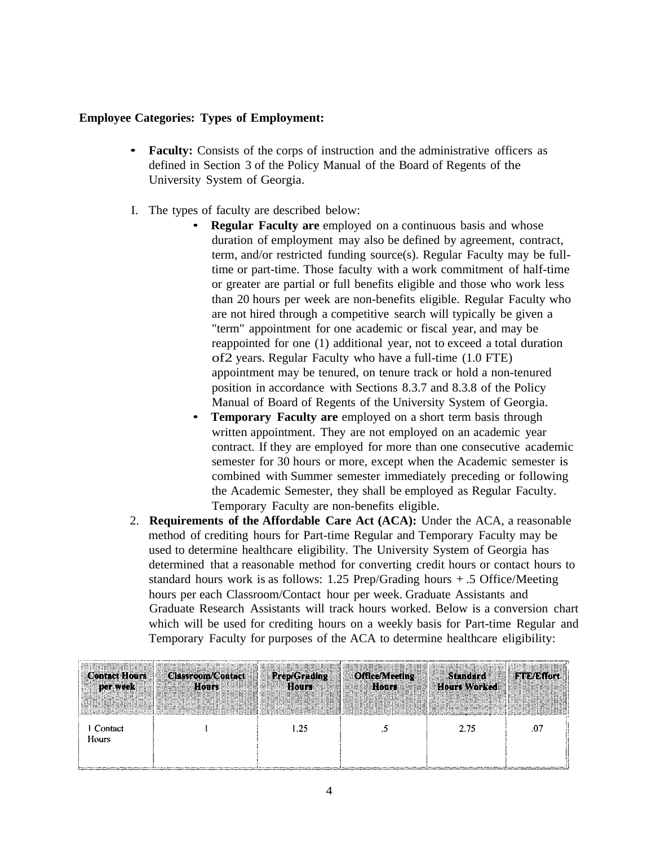#### **Employee Categories: Types of Employment:**

- **Faculty:** Consists of the corps of instruction and the administrative officers as defined in Section 3 of the Policy Manual of the Board of Regents of the University System of Georgia.
- I. The types of faculty are described below:
	- **Regular Faculty are** employed on a continuous basis and whose duration of employment may also be defined by agreement, contract, term, and/or restricted funding source(s). Regular Faculty may be fulltime or part-time. Those faculty with a work commitment of half-time or greater are partial or full benefits eligible and those who work less than 20 hours per week are non-benefits eligible. Regular Faculty who are not hired through a competitive search will typically be given a "term" appointment for one academic or fiscal year, and may be reappointed for one (1) additional year, not to exceed a total duration of2 years. Regular Faculty who have a full-time (1.0 FTE) appointment may be tenured, on tenure track or hold a non-tenured position in accordance with Sections 8.3.7 and 8.3.8 of the Policy Manual of Board of Regents of the University System of Georgia.
	- **Temporary Faculty are** employed on a short term basis through written appointment. They are not employed on an academic year contract. If they are employed for more than one consecutive academic semester for 30 hours or more, except when the Academic semester is combined with Summer semester immediately preceding or following the Academic Semester, they shall be employed as Regular Faculty. Temporary Faculty are non-benefits eligible.
- 2. **Requirements of the Affordable Care Act (ACA):** Under the ACA, a reasonable method of crediting hours for Part-time Regular and Temporary Faculty may be used to determine healthcare eligibility. The University System of Georgia has determined that a reasonable method for converting credit hours or contact hours to standard hours work is as follows: 1.25 Prep/Grading hours + .5 Office/Meeting hours per each Classroom/Contact hour per week. Graduate Assistants and Graduate Research Assistants will track hours worked. Below is a conversion chart which will be used for crediting hours on a weekly basis for Part-time Regular and Temporary Faculty for purposes of the ACA to determine healthcare eligibility:

| <b>Contact Hours</b> | <b>Classroom/Contact</b> | <b>Prep/Grading</b> | <b>Office/Meeting</b> | <b>Standard</b>     | <b>FTE/Effort</b> |
|----------------------|--------------------------|---------------------|-----------------------|---------------------|-------------------|
| per week             | Hours                    | Hours               | Hours                 | <b>Hours Worked</b> |                   |
| 1 Contact<br>Hours   |                          | 1.25                |                       | 2.75                | .07               |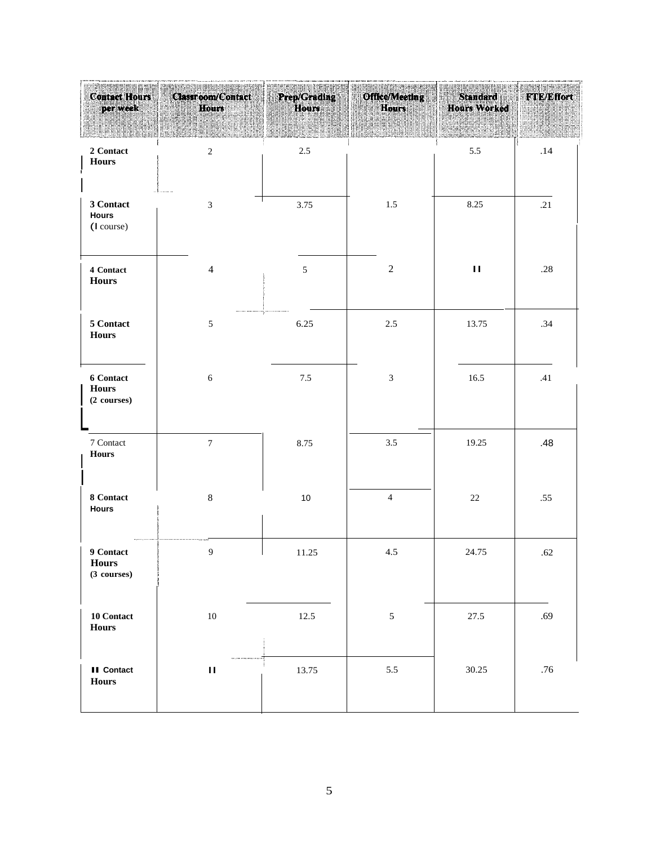| a dhenamang manang man<br><b>Contact Hours</b><br>per week | Classroom/Contact<br>Hours | Prep/Grading<br>Hours | Office/Meeting<br>Hours     | Standard<br><b>Hours Worked</b> | <b>FTE/Effort</b> |
|------------------------------------------------------------|----------------------------|-----------------------|-----------------------------|---------------------------------|-------------------|
| 2 Contact<br><b>Hours</b>                                  | $\overline{c}$             | 2.5                   |                             | 5.5                             | .14               |
| 3 Contact<br>Hours<br>(I course)                           | $\mathfrak{Z}$             | 3.75                  | $1.5\,$                     | 8.25                            | .21               |
| 4 Contact<br><b>Hours</b>                                  | $\overline{4}$             | $\sqrt{5}$            | $\sqrt{2}$                  | $\mathbf H$                     | .28               |
| 5 Contact<br><b>Hours</b>                                  | $\sqrt{5}$                 | 6.25                  | $2.5\,$                     | 13.75                           | .34               |
| <b>6 Contact</b><br><b>Hours</b><br>(2 courses)            | $\sqrt{6}$                 | $7.5\,$               | $\ensuremath{\mathfrak{Z}}$ | 16.5                            | .41               |
| 7 Contact<br><b>Hours</b>                                  | $\overline{7}$             | 8.75                  | 3.5                         | 19.25                           | .48               |
| 8 Contact<br><b>Hours</b>                                  | $\,8\,$                    | $10$                  | $\overline{4}$              | $22\,$                          | .55               |
| 9 Contact<br>Hours<br>(3 courses)                          | $\overline{9}$             | 11.25                 | 4.5                         | 24.75                           | .62               |
| 10 Contact<br><b>Hours</b>                                 | $10\,$                     | 12.5                  | $\sqrt{5}$                  | 27.5                            | .69               |
| <b>II</b> Contact<br>Hours                                 | $\mathbf{H}$               | 13.75                 | $5.5\,$                     | 30.25                           | .76               |
|                                                            |                            | $\mathfrak{S}$        |                             |                                 |                   |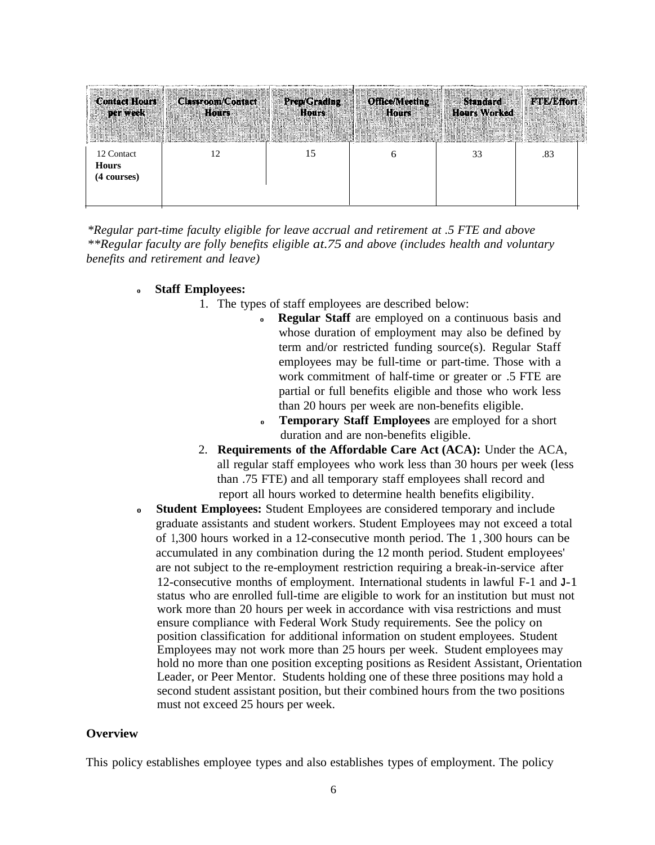| <b>Contact Hours</b><br>per week | Classroom/Contact<br>Hours | <b>Prep/Grading</b><br>Hours | <b>Office/Meeting</b><br>Hours | Standard<br><b>Hours Worked</b> | <b>FTE/Effort</b> |
|----------------------------------|----------------------------|------------------------------|--------------------------------|---------------------------------|-------------------|
| 12 Contact<br><b>Hours</b>       |                            | 15                           | O                              | 33                              | .83               |
| (4 courses)                      |                            |                              |                                |                                 |                   |
|                                  |                            |                              |                                |                                 |                   |

*\*Regular part-time faculty eligible for leave accrual and retirement at .5 FTE and above \*\*Regular faculty are folly benefits eligible at.75 and above (includes health and voluntary benefits and retirement and leave)*

#### **<sup>o</sup> Staff Employees:**

- 1. The types of staff employees are described below:
	- **<sup>o</sup> Regular Staff** are employed on a continuous basis and whose duration of employment may also be defined by term and/or restricted funding source(s). Regular Staff employees may be full-time or part-time. Those with a work commitment of half-time or greater or .5 FTE are partial or full benefits eligible and those who work less than 20 hours per week are non-benefits eligible.
	- **<sup>o</sup> Temporary Staff Employees** are employed for a short duration and are non-benefits eligible.
- 2. **Requirements of the Affordable Care Act (ACA):** Under the ACA, all regular staff employees who work less than 30 hours per week (less than .75 FTE) and all temporary staff employees shall record and report all hours worked to determine health benefits eligibility.
- **<sup>o</sup> Student Employees:** Student Employees are considered temporary and include graduate assistants and student workers. Student Employees may not exceed a total of 1,300 hours worked in a 12-consecutive month period. The 1 , 300 hours can be accumulated in any combination during the 12 month period. Student employees' are not subject to the re-employment restriction requiring a break-in-service after 12-consecutive months of employment. International students in lawful F-1 and **<sup>J</sup>**-1 status who are enrolled full-time are eligible to work for an institution but must not work more than 20 hours per week in accordance with visa restrictions and must ensure compliance with Federal Work Study requirements. See the policy on position classification for additional information on student employees. Student Employees may not work more than 25 hours per week. Student employees may hold no more than one position excepting positions as Resident Assistant, Orientation Leader, or Peer Mentor. Students holding one of these three positions may hold a second student assistant position, but their combined hours from the two positions must not exceed 25 hours per week.

#### **Overview**

This policy establishes employee types and also establishes types of employment. The policy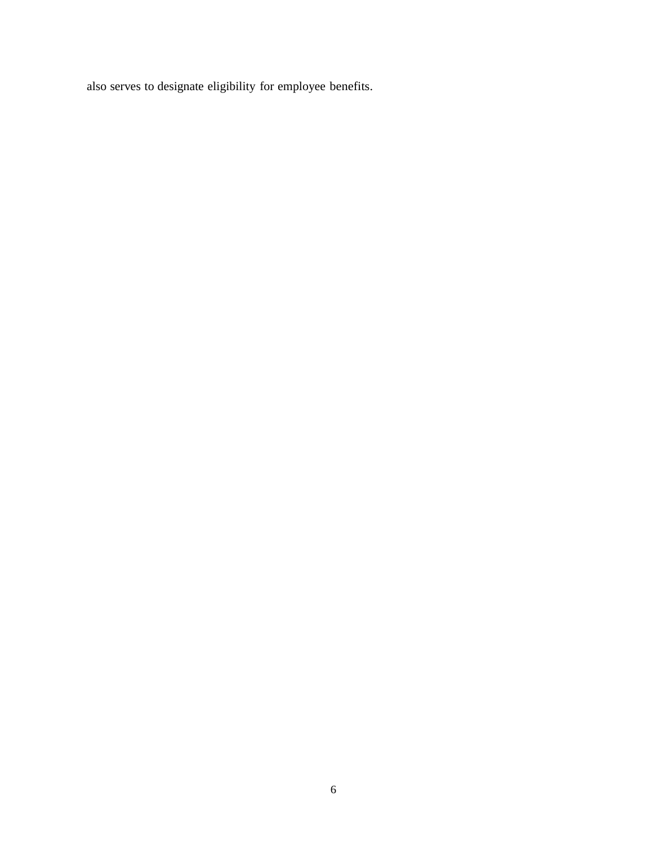also serves to designate eligibility for employee benefits.